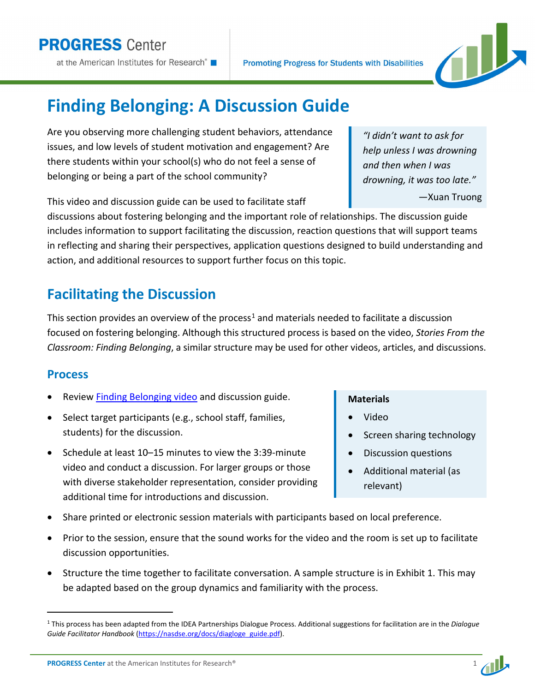**Finding Belonging: A Discussion Guide** 

Are you observing more challenging student behaviors, attendance issues, and low levels of student motivation and engagement? Are there students within your school(s) who do not feel a sense of belonging or being a part of the school community?

This video and discussion guide can be used to facilitate staff

discussions about fostering belonging and the important role of relationships. The discussion guide includes information to support facilitating the discussion, reaction questions that will support teams in reflecting and sharing their perspectives, application questions designed to build understanding and action, and additional resources to support further focus on this topic.

**Promoting Progress for Students with Disabilities** 

# **Facilitating the Discussion**

This section provides an overview of the process<sup>[1](#page-0-0)</sup> and materials needed to facilitate a discussion focused on fostering belonging. Although this structured process is based on the video, *Stories From the Classroom: Finding Belonging*, a similar structure may be used for other videos, articles, and discussions.

## **Process**

- Review [Finding Belonging video](https://promotingprogress.org/resources/stories-classroom-finding-belonging) and discussion guide.
- Select target participants (e.g., school staff, families, students) for the discussion.
- Schedule at least 10–15 minutes to view the 3:39-minute video and conduct a discussion. For larger groups or those with diverse stakeholder representation, consider providing additional time for introductions and discussion.
- Share printed or electronic session materials with participants based on local preference.
- Prior to the session, ensure that the sound works for the video and the room is set up to facilitate discussion opportunities.
- Structure the time together to facilitate conversation. A sample structure is in Exhibit 1. This may be adapted based on the group dynamics and familiarity with the process.

# *"I didn't want to ask for help unless I was drowning and then when I was drowning, it was too late."*

—Xuan Truong



- Video
- Screen sharing technology
- Discussion questions
- Additional material (as relevant)





<span id="page-0-0"></span><sup>1</sup> This process has been adapted from the IDEA Partnerships Dialogue Process. Additional suggestions for facilitation are in the *Dialogue Guide Facilitator Handbook* [\(https://nasdse.org/docs/diagloge\\_guide.pdf\)](https://nasdse.org/docs/diagloge_guide.pdf).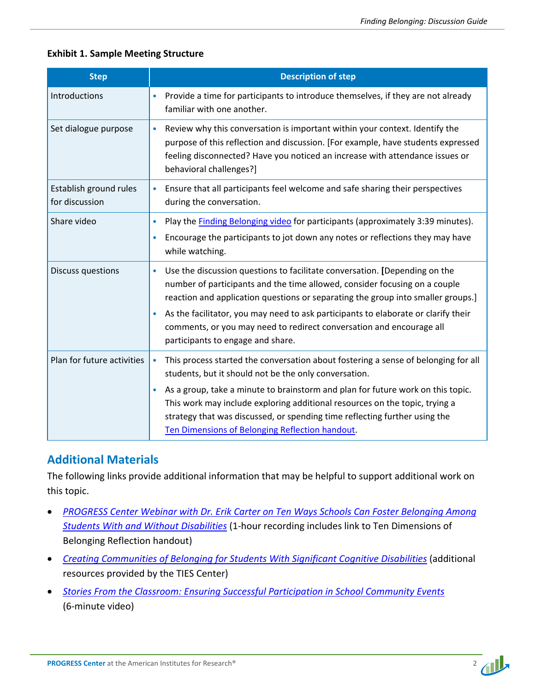### **Exhibit 1. Sample Meeting Structure**

| <b>Step</b>                              | <b>Description of step</b>                                                                                                                                                                                                                                                                                                                                                                                                                                                |
|------------------------------------------|---------------------------------------------------------------------------------------------------------------------------------------------------------------------------------------------------------------------------------------------------------------------------------------------------------------------------------------------------------------------------------------------------------------------------------------------------------------------------|
| Introductions                            | Provide a time for participants to introduce themselves, if they are not already<br>familiar with one another.                                                                                                                                                                                                                                                                                                                                                            |
| Set dialogue purpose                     | Review why this conversation is important within your context. Identify the<br>$\bullet$<br>purpose of this reflection and discussion. [For example, have students expressed<br>feeling disconnected? Have you noticed an increase with attendance issues or<br>behavioral challenges?]                                                                                                                                                                                   |
| Establish ground rules<br>for discussion | Ensure that all participants feel welcome and safe sharing their perspectives<br>$\bullet$<br>during the conversation.                                                                                                                                                                                                                                                                                                                                                    |
| Share video                              | Play the <b>Finding Belonging video</b> for participants (approximately 3:39 minutes).<br>۰<br>Encourage the participants to jot down any notes or reflections they may have<br>$\bullet$<br>while watching.                                                                                                                                                                                                                                                              |
| <b>Discuss questions</b>                 | Use the discussion questions to facilitate conversation. [Depending on the<br>$\bullet$<br>number of participants and the time allowed, consider focusing on a couple<br>reaction and application questions or separating the group into smaller groups.]<br>As the facilitator, you may need to ask participants to elaborate or clarify their<br>$\bullet$<br>comments, or you may need to redirect conversation and encourage all<br>participants to engage and share. |
| Plan for future activities               | This process started the conversation about fostering a sense of belonging for all<br>$\bullet$<br>students, but it should not be the only conversation.<br>As a group, take a minute to brainstorm and plan for future work on this topic.<br>$\bullet$<br>This work may include exploring additional resources on the topic, trying a<br>strategy that was discussed, or spending time reflecting further using the<br>Ten Dimensions of Belonging Reflection handout.  |

### **Additional Materials**

The following links provide additional information that may be helpful to support additional work on this topic.

- *[PROGRESS Center Webinar with Dr. Erik Carter on Ten Ways Schools Can Foster Belonging Among](https://promotingprogress.org/resources/ten-ways-schools-can-foster-belonging)  [Students With and Without Disabilities](https://promotingprogress.org/resources/ten-ways-schools-can-foster-belonging)* (1-hour recording includes link to Ten Dimensions of Belonging Reflection handout)
- *[Creating Communities of Belonging for Students With Significant Cognitive Disabilities](https://promotingprogress.org/resources/belonging-significant-cognitive-disability)* (additional resources provided by the TIES Center)
- *[Stories From the Classroom: Ensuring Successful Participation in School Community Events](https://promotingprogress.org/resources/stories-classroom-ensuring-successful-participation-school-community-events)* (6-minute video)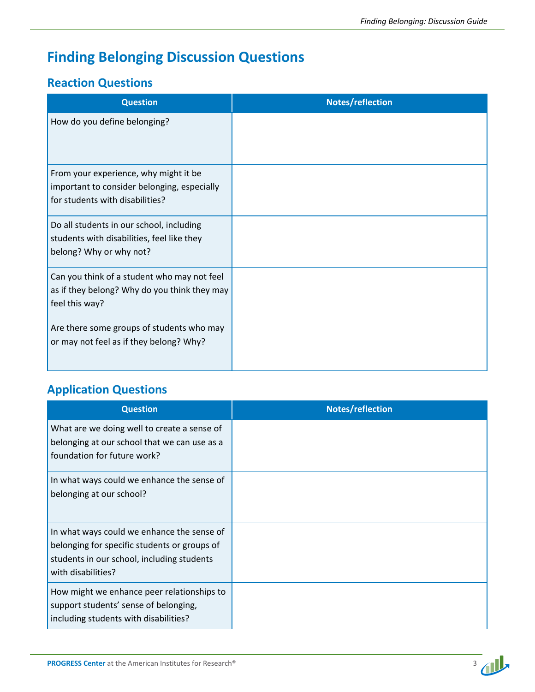# **Finding Belonging Discussion Questions**

### **Reaction Questions**

| <b>Question</b>                                                                                                         | Notes/reflection |
|-------------------------------------------------------------------------------------------------------------------------|------------------|
| How do you define belonging?                                                                                            |                  |
| From your experience, why might it be<br>important to consider belonging, especially<br>for students with disabilities? |                  |
| Do all students in our school, including<br>students with disabilities, feel like they<br>belong? Why or why not?       |                  |
| Can you think of a student who may not feel<br>as if they belong? Why do you think they may<br>feel this way?           |                  |
| Are there some groups of students who may<br>or may not feel as if they belong? Why?                                    |                  |

# **Application Questions**

| <b>Question</b>                                                                                                                                                | Notes/reflection |
|----------------------------------------------------------------------------------------------------------------------------------------------------------------|------------------|
| What are we doing well to create a sense of<br>belonging at our school that we can use as a<br>foundation for future work?                                     |                  |
| In what ways could we enhance the sense of<br>belonging at our school?                                                                                         |                  |
| In what ways could we enhance the sense of<br>belonging for specific students or groups of<br>students in our school, including students<br>with disabilities? |                  |
| How might we enhance peer relationships to<br>support students' sense of belonging,<br>including students with disabilities?                                   |                  |